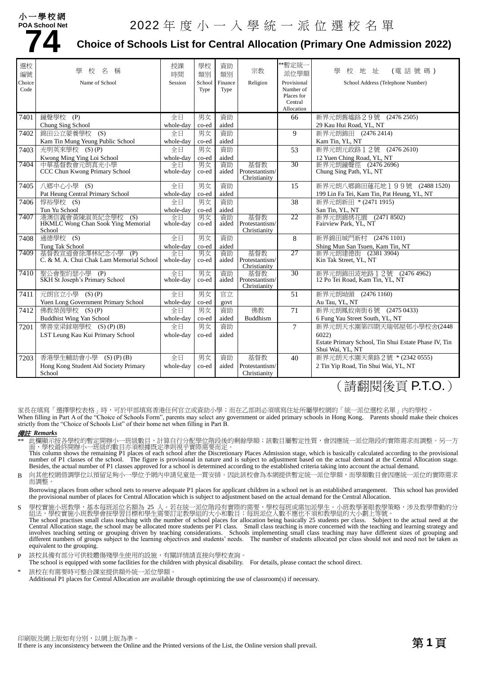### 小一學校網 **POA School Net**



# **74** 2022 年度小一人學統一派位選校名單<br>T4 Choice of Schools List for Central Allocation (Primary One Admi **Choice of Schools List for Central Allocation (Primary One Admission 2022)**

| 選校<br>編號 | 壆<br>校<br>名                                  | 授課<br>時間  | 學校<br>類別 | 資助<br>類別 | 宗教                             | **暫定統一<br>派位學額        | (電話號碼)<br>地址<br>校                                                        |
|----------|----------------------------------------------|-----------|----------|----------|--------------------------------|-----------------------|--------------------------------------------------------------------------|
| Choice   | Name of School                               | Session   | School   | Finance  | Religion                       | Provisional           | School Address (Telephone Number)                                        |
| Code     |                                              |           | Type     | Type     |                                | Number of             |                                                                          |
|          |                                              |           |          |          |                                | Places for            |                                                                          |
|          |                                              |           |          |          |                                | Central<br>Allocation |                                                                          |
| 7401     | 鐘聲學校 (P)                                     | 全日        | 男女       | 資助       |                                | 66                    | 新界元朗舊墟路29號<br>(2476 2505)                                                |
|          | Chung Sing School                            | whole-day | co-ed    | aided    |                                |                       | 29 Kau Hui Road, YL, NT                                                  |
| 7402     | 錦田公立蒙養學校 (S)                                 | 全日        | 男女       | 資助       |                                | 9                     | 新界元朗錦田 (2476 2414)                                                       |
|          | Kam Tin Mung Yeung Public School             | whole-day | co-ed    | aided    |                                |                       | Kam Tin, YL, NT                                                          |
| 7403     | 光明英來學校 (S)(P)                                | 全日        | 男女       | 資助       |                                | 53                    | 新界元朗元政路12號<br>(2476 2610)                                                |
|          | Kwong Ming Ying Loi School                   | whole-day | co-ed    | aided    |                                |                       | 12 Yuen Ching Road, YL, NT                                               |
| 7404     | 中華基督教會元朗直光小學                                 | 全日        | 男女       | 資助       | 基督教                            | 30                    | 新界元朗鐘聲徑<br>(2476 2696)                                                   |
|          | CCC Chun Kwong Primary School                | whole-day | co-ed    | aided    | Protestantism/<br>Christianity |                       | Chung Sing Path, YL, NT                                                  |
| 7405     | 八鄉中心小學 (S)                                   | 全日        | 男女       | 資助       |                                | 15                    | 新界元朗八鄉錦田蓮花地199號 (2488 1520)                                              |
|          | Pat Heung Central Primary School             | whole-day | co-ed    | aided    |                                |                       | 199 Lin Fa Tei, Kam Tin, Pat Heung, YL, NT                               |
| 7406     | 惇裕學校 (S)                                     | 全日        | 男女       | 資助       |                                | 38                    | 新界元朗新田 * (2471 1915)                                                     |
|          | Tun Yu School                                | whole-day | co-ed    | aided    |                                |                       | San Tin, YL, NT                                                          |
| 7407     | 港澳信義會黃陳淑英紀念學校<br>(S)                         | 全日        | 男女       | 資助       | 基督教                            | 22                    | (24718502)<br>新界元朗錦綉花園                                                   |
|          | HKMLC Wong Chan Sook Ying Memorial<br>School | whole-day | co-ed    | aided    | Protestantism/<br>Christianity |                       | Fairview Park, YL, NT                                                    |
| 7408     | 通德學校 (S)                                     | 全日        | 男女       | 資助       |                                | 8                     | 新界錦田城門新村<br>(24761101)                                                   |
|          | Tung Tak School                              | whole-day | co-ed    | aided    |                                |                       | Shing Mun San Tsuen, Kam Tin, NT                                         |
| 7409     | 基督教宣道會徐澤林紀念小學 (P)                            | 全日        | 男女       | 資助       | 基督教                            | 27                    | 新界元朗建德街 (2381 3904)                                                      |
|          | C. & M. A. Chui Chak Lam Memorial School     | whole-day | co-ed    | aided    | Protestantism/                 |                       | Kin Tak Street, YL, NT                                                   |
| 7410     | 聖公會聖約瑟小學 (P)                                 | 全日        | 男女       | 資助       | Christianity<br>基督教            | 30                    | 新界元朗錦田波地路 1 2號 (2476 4962)                                               |
|          | SKH St Joseph's Primary School               | whole-day | co-ed    | aided    | Protestantism/                 |                       | 12 Po Tei Road, Kam Tin, YL, NT                                          |
|          |                                              |           |          |          | Christianity                   |                       |                                                                          |
| 7411     | 元朗官立小學 (S)(P)                                | 全日        | 男女       | 官立       |                                | 51                    | 新界元朗坳頭<br>(24761160)                                                     |
|          | Yuen Long Government Primary School          | whole-day | co-ed    | govt     |                                |                       | Au Tau, YL, NT                                                           |
| 7412     | 佛教榮茵學校 (S)(P)                                | 全日        | 男女       | 資助       | 佛教                             | $\overline{71}$       | 新界元朗鳳攸南街6號<br>(24750433)                                                 |
|          | <b>Buddhist Wing Yan School</b>              | whole-day | co-ed    | aided    | <b>Buddhism</b>                |                       | 6 Fung Yau Street South, YL, NT                                          |
| 7201     | 樂善堂梁銶琚學校 (S)(P)(B)                           | 全日        | 男女       | 資助       |                                | $\overline{7}$        | 新界元朗天水圍第四期天瑞邨屋邨小學校舍(2448                                                 |
|          | LST Leung Kau Kui Primary School             | whole-day | co-ed    | aided    |                                |                       | 6022                                                                     |
|          |                                              |           |          |          |                                |                       | Estate Primary School, Tin Shui Estate Phase IV, Tin<br>Shui Wai, YL, NT |
| 7203     | 香港學生輔助會小學 (S)(P)(B)                          | 全日        | 男女       | 資助       | 基督教                            | 40                    | 新界元朗天水圍天業路2號 * (2342 0555)                                               |
|          | Hong Kong Student Aid Society Primary        | whole-day | co-ed    | aided    | Protestantism/                 |                       | 2 Tin Yip Road, Tin Shui Wai, YL, NT                                     |
|          | School                                       |           |          |          | Christianity                   |                       |                                                                          |

## (請翻閱後頁 P.T.O.)

家長在填寫「選擇學校表格」時,可於甲部填寫香港任何官立或資助小學;而在乙部則必須填寫住址所屬學校網的「統一派位選校名單」內的學校。 When filling in Part A of the "Choice of Schools Form", parents may select any government or aided primary schools in Hong Kong. Parents should make their choices strictly from the "Choice of Schools List" of their home net when filling in Part B.

#### 備註 *Remarks*

\*\* 此欄顯示按各學校的暫定開辦小一班級數目,計算自行分配學位階段後的剩餘學額;該數目屬暫定性質,會因應統一派位階段的實際需求而調整。另一方<br> 面,學校最終開辦小一班級的數目亦須根據既定準則視乎實際需要而定。

This column shows the remaining P1 places of each school after the Discretionary Places Admission stage, which is basically calculated according to the provisional number of P1 classes of the school. The figure is provisional in nature and is subject to adjustment based on the actual demand at the Central Allocation stage. Besides, the actual number of P1 classes approved for a school is determined according to the established criteria taking into account the actual demand.

B 向其他校網借調學位以預留足夠小一學位予網內申請兒童是一貫安排。因此該校會為本網提供暫定統一派位學額,而學額數目會因應統一派位的實際需求 而調整。

Borrowing places from other school nets to reserve adequate P1 places for applicant children in a school net is an established arrangement. This school has provided the provisional number of places for Central Allocation which is subject to adjustment based on the actual demand for the Central Allocation.

S 學校實施小班教學,基本每班派位名額為 25 人。若在統一派位階段有實際的需要,學校每班或需加派學生。小班教學著眼教學策略,涉及教學帶動的分 組法,學校實施小班教學會按學習目標和學生需要訂定教學組的大小和數目;每班派位人數不應也不須和教學組的大小劃上等號。 The school practises small class teaching with the number of school places for allocation being basically 25 students per class. Subject to the actual need at the

Central Allocation stage, the school may be allocated more students per P1 class. Small class teaching is more concerned with the teaching and learning strategy and involves teaching setting or grouping driven by teaching considerations. Schools implementing small class teaching may have different sizes of grouping and different numbers of groups subject to the learning objectives and students' needs. The number of students allocated per class should not and need not be taken as equivalent to the grouping.

P 該校具備有部分可供肢體傷殘學生使用的設施,有關詳情請直接向學校查詢。

The school is equipped with some facilities for the children with physical disability. For details, please contact the school direct.

該校在有需要時可整合課室提供額外統一派位學額。 Additional P1 places for Central Allocation are available through optimizing the use of classroom(s) if necessary.